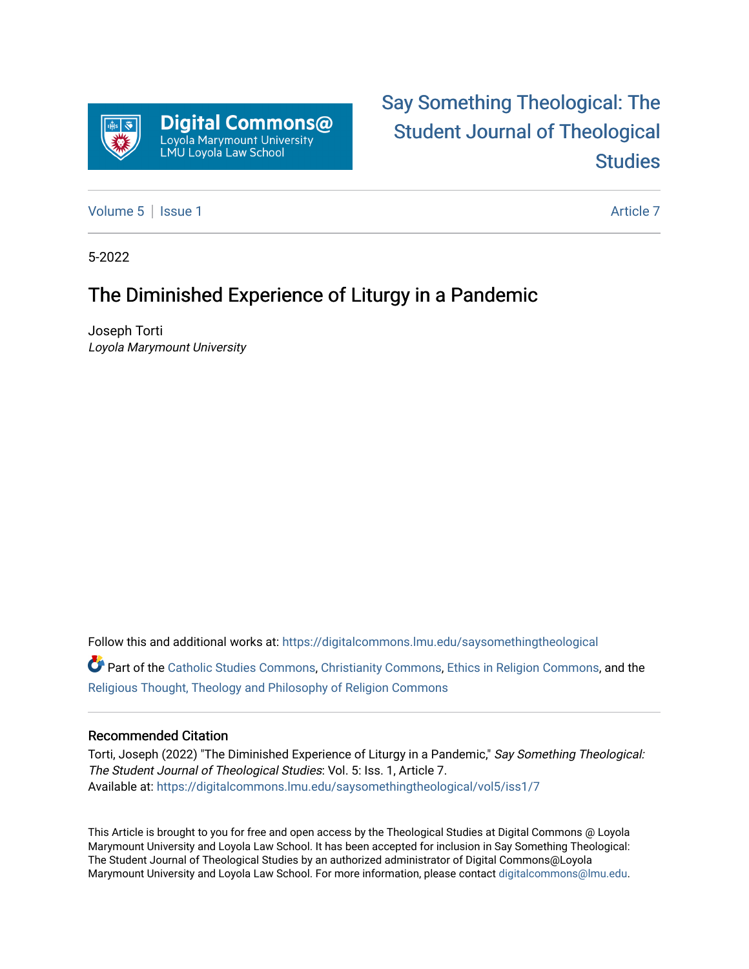

# [Say Something Theological: The](https://digitalcommons.lmu.edu/saysomethingtheological)  [Student Journal of Theological](https://digitalcommons.lmu.edu/saysomethingtheological)  **Studies**

[Volume 5](https://digitalcommons.lmu.edu/saysomethingtheological/vol5) | [Issue 1](https://digitalcommons.lmu.edu/saysomethingtheological/vol5/iss1) Article 7

5-2022

## The Diminished Experience of Liturgy in a Pandemic

Joseph Torti Loyola Marymount University

Follow this and additional works at: [https://digitalcommons.lmu.edu/saysomethingtheological](https://digitalcommons.lmu.edu/saysomethingtheological?utm_source=digitalcommons.lmu.edu%2Fsaysomethingtheological%2Fvol5%2Fiss1%2F7&utm_medium=PDF&utm_campaign=PDFCoverPages)

Part of the [Catholic Studies Commons](http://network.bepress.com/hgg/discipline/1294?utm_source=digitalcommons.lmu.edu%2Fsaysomethingtheological%2Fvol5%2Fiss1%2F7&utm_medium=PDF&utm_campaign=PDFCoverPages), [Christianity Commons](http://network.bepress.com/hgg/discipline/1181?utm_source=digitalcommons.lmu.edu%2Fsaysomethingtheological%2Fvol5%2Fiss1%2F7&utm_medium=PDF&utm_campaign=PDFCoverPages), [Ethics in Religion Commons,](http://network.bepress.com/hgg/discipline/541?utm_source=digitalcommons.lmu.edu%2Fsaysomethingtheological%2Fvol5%2Fiss1%2F7&utm_medium=PDF&utm_campaign=PDFCoverPages) and the [Religious Thought, Theology and Philosophy of Religion Commons](http://network.bepress.com/hgg/discipline/544?utm_source=digitalcommons.lmu.edu%2Fsaysomethingtheological%2Fvol5%2Fiss1%2F7&utm_medium=PDF&utm_campaign=PDFCoverPages) 

#### Recommended Citation

Torti, Joseph (2022) "The Diminished Experience of Liturgy in a Pandemic," Say Something Theological: The Student Journal of Theological Studies: Vol. 5: Iss. 1, Article 7. Available at: [https://digitalcommons.lmu.edu/saysomethingtheological/vol5/iss1/7](https://digitalcommons.lmu.edu/saysomethingtheological/vol5/iss1/7?utm_source=digitalcommons.lmu.edu%2Fsaysomethingtheological%2Fvol5%2Fiss1%2F7&utm_medium=PDF&utm_campaign=PDFCoverPages) 

This Article is brought to you for free and open access by the Theological Studies at Digital Commons @ Loyola Marymount University and Loyola Law School. It has been accepted for inclusion in Say Something Theological: The Student Journal of Theological Studies by an authorized administrator of Digital Commons@Loyola Marymount University and Loyola Law School. For more information, please contact [digitalcommons@lmu.edu](mailto:digitalcommons@lmu.edu).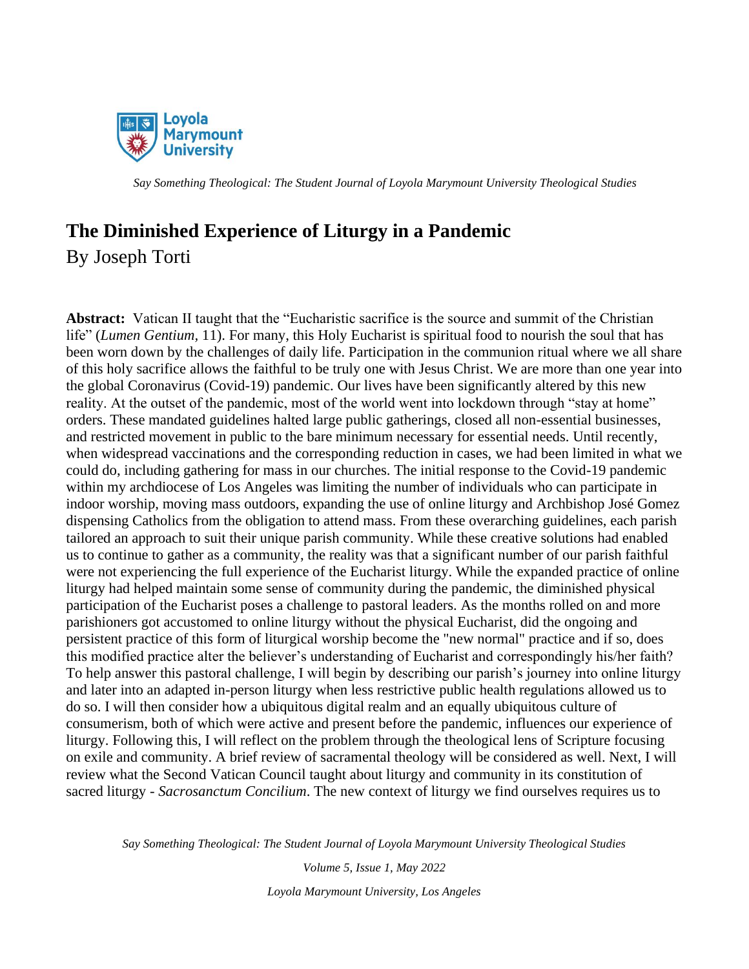

## **The Diminished Experience of Liturgy in a Pandemic**

By Joseph Torti

**Abstract:** Vatican II taught that the "Eucharistic sacrifice is the source and summit of the Christian life" (*Lumen Gentium,* 11). For many, this Holy Eucharist is spiritual food to nourish the soul that has been worn down by the challenges of daily life. Participation in the communion ritual where we all share of this holy sacrifice allows the faithful to be truly one with Jesus Christ. We are more than one year into the global Coronavirus (Covid-19) pandemic. Our lives have been significantly altered by this new reality. At the outset of the pandemic, most of the world went into lockdown through "stay at home" orders. These mandated guidelines halted large public gatherings, closed all non-essential businesses, and restricted movement in public to the bare minimum necessary for essential needs. Until recently, when widespread vaccinations and the corresponding reduction in cases, we had been limited in what we could do, including gathering for mass in our churches. The initial response to the Covid-19 pandemic within my archdiocese of Los Angeles was limiting the number of individuals who can participate in indoor worship, moving mass outdoors, expanding the use of online liturgy and Archbishop José Gomez dispensing Catholics from the obligation to attend mass. From these overarching guidelines, each parish tailored an approach to suit their unique parish community. While these creative solutions had enabled us to continue to gather as a community, the reality was that a significant number of our parish faithful were not experiencing the full experience of the Eucharist liturgy. While the expanded practice of online liturgy had helped maintain some sense of community during the pandemic, the diminished physical participation of the Eucharist poses a challenge to pastoral leaders. As the months rolled on and more parishioners got accustomed to online liturgy without the physical Eucharist, did the ongoing and persistent practice of this form of liturgical worship become the "new normal" practice and if so, does this modified practice alter the believer's understanding of Eucharist and correspondingly his/her faith? To help answer this pastoral challenge, I will begin by describing our parish's journey into online liturgy and later into an adapted in-person liturgy when less restrictive public health regulations allowed us to do so. I will then consider how a ubiquitous digital realm and an equally ubiquitous culture of consumerism, both of which were active and present before the pandemic, influences our experience of liturgy. Following this, I will reflect on the problem through the theological lens of Scripture focusing on exile and community. A brief review of sacramental theology will be considered as well. Next, I will review what the Second Vatican Council taught about liturgy and community in its constitution of sacred liturgy - *Sacrosanctum Concilium*. The new context of liturgy we find ourselves requires us to

*Say Something Theological: The Student Journal of Loyola Marymount University Theological Studies*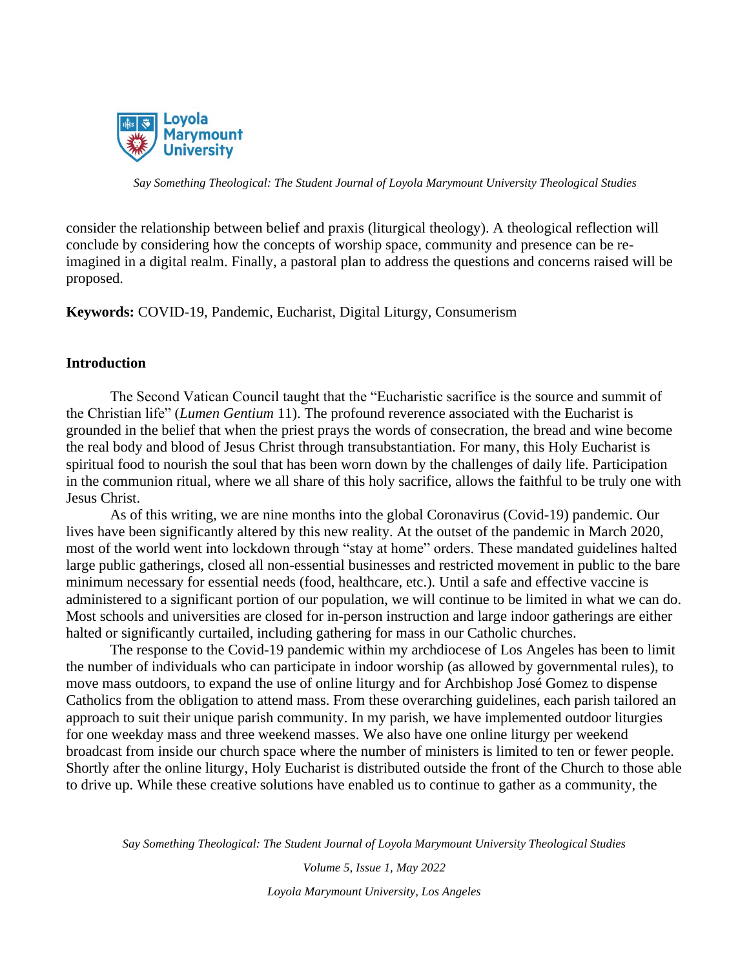

consider the relationship between belief and praxis (liturgical theology). A theological reflection will conclude by considering how the concepts of worship space, community and presence can be reimagined in a digital realm. Finally, a pastoral plan to address the questions and concerns raised will be proposed.

**Keywords:** COVID-19, Pandemic, Eucharist, Digital Liturgy, Consumerism

## **Introduction**

The Second Vatican Council taught that the "Eucharistic sacrifice is the source and summit of the Christian life" (*Lumen Gentium* 11). The profound reverence associated with the Eucharist is grounded in the belief that when the priest prays the words of consecration, the bread and wine become the real body and blood of Jesus Christ through transubstantiation. For many, this Holy Eucharist is spiritual food to nourish the soul that has been worn down by the challenges of daily life. Participation in the communion ritual, where we all share of this holy sacrifice, allows the faithful to be truly one with Jesus Christ.

As of this writing, we are nine months into the global Coronavirus (Covid-19) pandemic. Our lives have been significantly altered by this new reality. At the outset of the pandemic in March 2020, most of the world went into lockdown through "stay at home" orders. These mandated guidelines halted large public gatherings, closed all non-essential businesses and restricted movement in public to the bare minimum necessary for essential needs (food, healthcare, etc.). Until a safe and effective vaccine is administered to a significant portion of our population, we will continue to be limited in what we can do. Most schools and universities are closed for in-person instruction and large indoor gatherings are either halted or significantly curtailed, including gathering for mass in our Catholic churches.

The response to the Covid-19 pandemic within my archdiocese of Los Angeles has been to limit the number of individuals who can participate in indoor worship (as allowed by governmental rules), to move mass outdoors, to expand the use of online liturgy and for Archbishop José Gomez to dispense Catholics from the obligation to attend mass. From these overarching guidelines, each parish tailored an approach to suit their unique parish community. In my parish, we have implemented outdoor liturgies for one weekday mass and three weekend masses. We also have one online liturgy per weekend broadcast from inside our church space where the number of ministers is limited to ten or fewer people. Shortly after the online liturgy, Holy Eucharist is distributed outside the front of the Church to those able to drive up. While these creative solutions have enabled us to continue to gather as a community, the

*Say Something Theological: The Student Journal of Loyola Marymount University Theological Studies*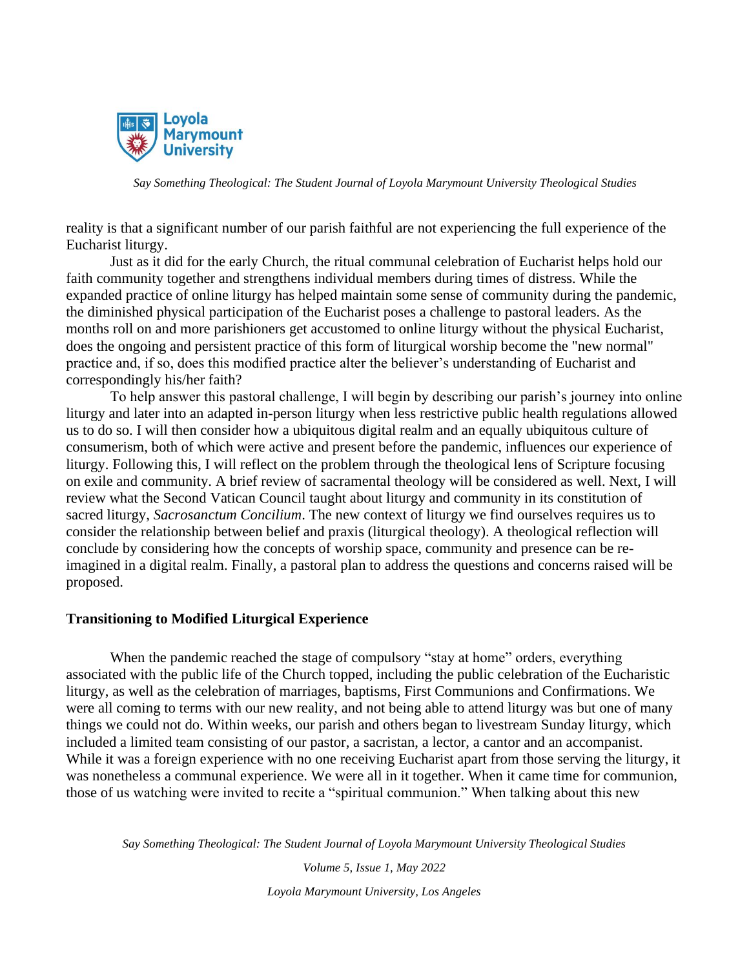

reality is that a significant number of our parish faithful are not experiencing the full experience of the Eucharist liturgy.

Just as it did for the early Church, the ritual communal celebration of Eucharist helps hold our faith community together and strengthens individual members during times of distress. While the expanded practice of online liturgy has helped maintain some sense of community during the pandemic, the diminished physical participation of the Eucharist poses a challenge to pastoral leaders. As the months roll on and more parishioners get accustomed to online liturgy without the physical Eucharist, does the ongoing and persistent practice of this form of liturgical worship become the "new normal" practice and, if so, does this modified practice alter the believer's understanding of Eucharist and correspondingly his/her faith?

To help answer this pastoral challenge, I will begin by describing our parish's journey into online liturgy and later into an adapted in-person liturgy when less restrictive public health regulations allowed us to do so. I will then consider how a ubiquitous digital realm and an equally ubiquitous culture of consumerism, both of which were active and present before the pandemic, influences our experience of liturgy. Following this, I will reflect on the problem through the theological lens of Scripture focusing on exile and community. A brief review of sacramental theology will be considered as well. Next, I will review what the Second Vatican Council taught about liturgy and community in its constitution of sacred liturgy, *Sacrosanctum Concilium*. The new context of liturgy we find ourselves requires us to consider the relationship between belief and praxis (liturgical theology). A theological reflection will conclude by considering how the concepts of worship space, community and presence can be reimagined in a digital realm. Finally, a pastoral plan to address the questions and concerns raised will be proposed.

#### **Transitioning to Modified Liturgical Experience**

When the pandemic reached the stage of compulsory "stay at home" orders, everything associated with the public life of the Church topped, including the public celebration of the Eucharistic liturgy, as well as the celebration of marriages, baptisms, First Communions and Confirmations. We were all coming to terms with our new reality, and not being able to attend liturgy was but one of many things we could not do. Within weeks, our parish and others began to livestream Sunday liturgy, which included a limited team consisting of our pastor, a sacristan, a lector, a cantor and an accompanist. While it was a foreign experience with no one receiving Eucharist apart from those serving the liturgy, it was nonetheless a communal experience. We were all in it together. When it came time for communion, those of us watching were invited to recite a "spiritual communion." When talking about this new

*Say Something Theological: The Student Journal of Loyola Marymount University Theological Studies*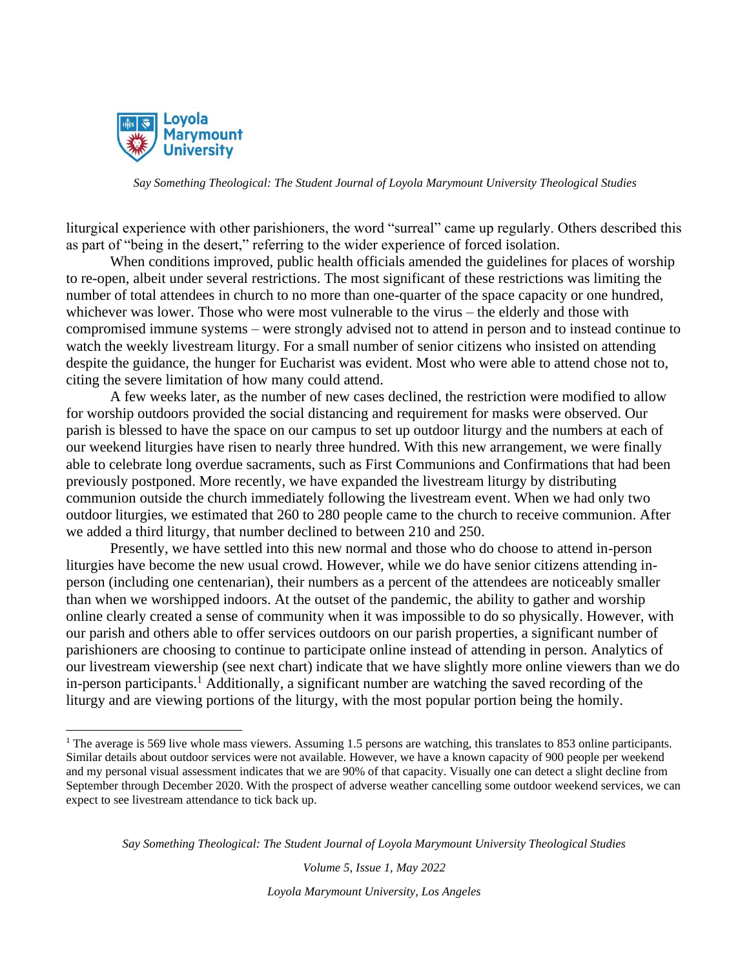

liturgical experience with other parishioners, the word "surreal" came up regularly. Others described this as part of "being in the desert," referring to the wider experience of forced isolation.

When conditions improved, public health officials amended the guidelines for places of worship to re-open, albeit under several restrictions. The most significant of these restrictions was limiting the number of total attendees in church to no more than one-quarter of the space capacity or one hundred, whichever was lower. Those who were most vulnerable to the virus – the elderly and those with compromised immune systems – were strongly advised not to attend in person and to instead continue to watch the weekly livestream liturgy. For a small number of senior citizens who insisted on attending despite the guidance, the hunger for Eucharist was evident. Most who were able to attend chose not to, citing the severe limitation of how many could attend.

A few weeks later, as the number of new cases declined, the restriction were modified to allow for worship outdoors provided the social distancing and requirement for masks were observed. Our parish is blessed to have the space on our campus to set up outdoor liturgy and the numbers at each of our weekend liturgies have risen to nearly three hundred. With this new arrangement, we were finally able to celebrate long overdue sacraments, such as First Communions and Confirmations that had been previously postponed. More recently, we have expanded the livestream liturgy by distributing communion outside the church immediately following the livestream event. When we had only two outdoor liturgies, we estimated that 260 to 280 people came to the church to receive communion. After we added a third liturgy, that number declined to between 210 and 250.

Presently, we have settled into this new normal and those who do choose to attend in-person liturgies have become the new usual crowd. However, while we do have senior citizens attending inperson (including one centenarian), their numbers as a percent of the attendees are noticeably smaller than when we worshipped indoors. At the outset of the pandemic, the ability to gather and worship online clearly created a sense of community when it was impossible to do so physically. However, with our parish and others able to offer services outdoors on our parish properties, a significant number of parishioners are choosing to continue to participate online instead of attending in person. Analytics of our livestream viewership (see next chart) indicate that we have slightly more online viewers than we do in-person participants.<sup>1</sup> Additionally, a significant number are watching the saved recording of the liturgy and are viewing portions of the liturgy, with the most popular portion being the homily.

*Say Something Theological: The Student Journal of Loyola Marymount University Theological Studies*

*Volume 5, Issue 1, May 2022*

<sup>&</sup>lt;sup>1</sup> The average is 569 live whole mass viewers. Assuming 1.5 persons are watching, this translates to 853 online participants. Similar details about outdoor services were not available. However, we have a known capacity of 900 people per weekend and my personal visual assessment indicates that we are 90% of that capacity. Visually one can detect a slight decline from September through December 2020. With the prospect of adverse weather cancelling some outdoor weekend services, we can expect to see livestream attendance to tick back up.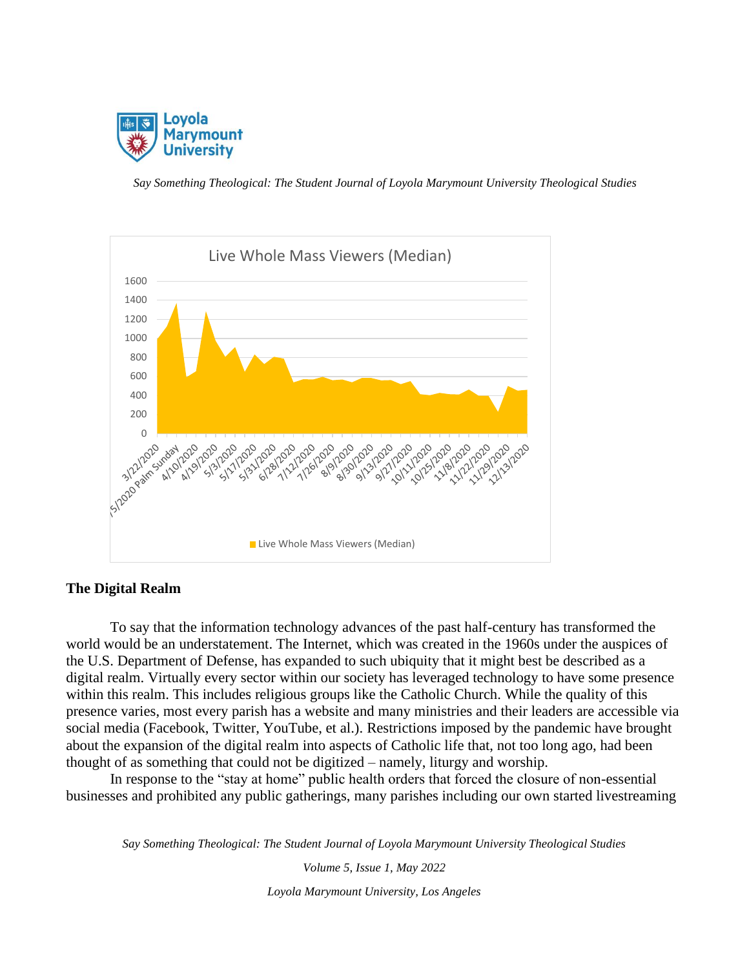



## **The Digital Realm**

To say that the information technology advances of the past half-century has transformed the world would be an understatement. The Internet, which was created in the 1960s under the auspices of the U.S. Department of Defense, has expanded to such ubiquity that it might best be described as a digital realm. Virtually every sector within our society has leveraged technology to have some presence within this realm. This includes religious groups like the Catholic Church. While the quality of this presence varies, most every parish has a website and many ministries and their leaders are accessible via social media (Facebook, Twitter, YouTube, et al.). Restrictions imposed by the pandemic have brought about the expansion of the digital realm into aspects of Catholic life that, not too long ago, had been thought of as something that could not be digitized – namely, liturgy and worship.

In response to the "stay at home" public health orders that forced the closure of non-essential businesses and prohibited any public gatherings, many parishes including our own started livestreaming

*Say Something Theological: The Student Journal of Loyola Marymount University Theological Studies*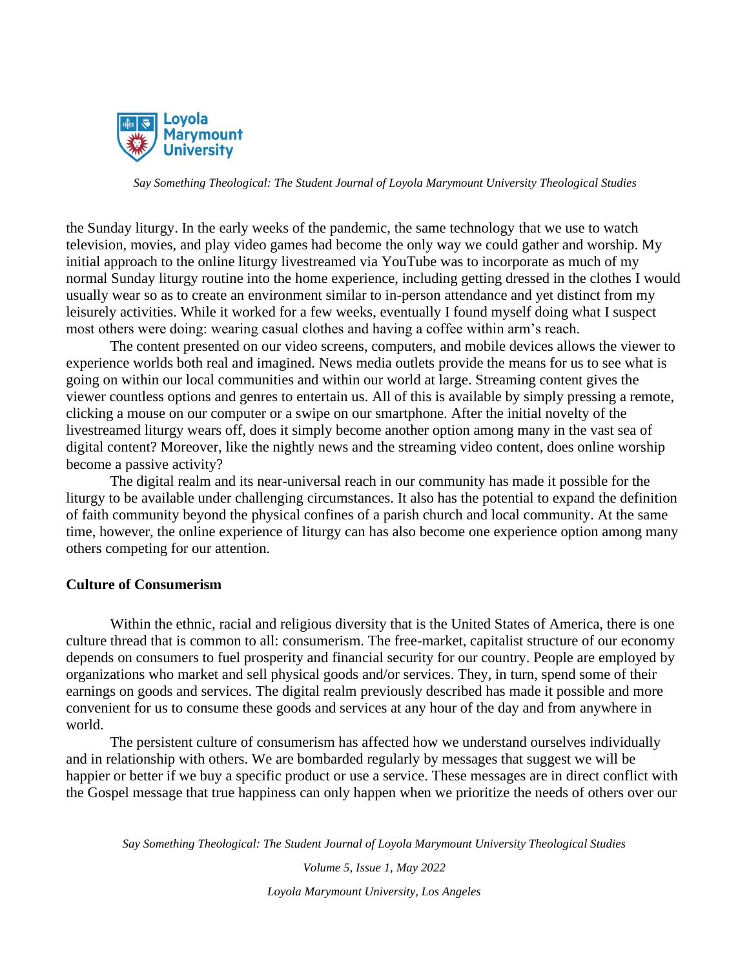

the Sunday liturgy. In the early weeks of the pandemic, the same technology that we use to watch television, movies, and play video games had become the only way we could gather and worship. My initial approach to the online liturgy livestreamed via YouTube was to incorporate as much of my normal Sunday liturgy routine into the home experience, including getting dressed in the clothes I would usually wear so as to create an environment similar to in-person attendance and yet distinct from my leisurely activities. While it worked for a few weeks, eventually I found myself doing what I suspect most others were doing: wearing casual clothes and having a coffee within arm's reach.

The content presented on our video screens, computers, and mobile devices allows the viewer to experience worlds both real and imagined. News media outlets provide the means for us to see what is going on within our local communities and within our world at large. Streaming content gives the viewer countless options and genres to entertain us. All of this is available by simply pressing a remote, clicking a mouse on our computer or a swipe on our smartphone. After the initial novelty of the livestreamed liturgy wears off, does it simply become another option among many in the vast sea of digital content? Moreover, like the nightly news and the streaming video content, does online worship become a passive activity?

The digital realm and its near-universal reach in our community has made it possible for the liturgy to be available under challenging circumstances. It also has the potential to expand the definition of faith community beyond the physical confines of a parish church and local community. At the same time, however, the online experience of liturgy can has also become one experience option among many others competing for our attention.

## **Culture of Consumerism**

Within the ethnic, racial and religious diversity that is the United States of America, there is one culture thread that is common to all: consumerism. The free-market, capitalist structure of our economy depends on consumers to fuel prosperity and financial security for our country. People are employed by organizations who market and sell physical goods and/or services. They, in turn, spend some of their earnings on goods and services. The digital realm previously described has made it possible and more convenient for us to consume these goods and services at any hour of the day and from anywhere in world.

The persistent culture of consumerism has affected how we understand ourselves individually and in relationship with others. We are bombarded regularly by messages that suggest we will be happier or better if we buy a specific product or use a service. These messages are in direct conflict with the Gospel message that true happiness can only happen when we prioritize the needs of others over our

*Say Something Theological: The Student Journal of Loyola Marymount University Theological Studies*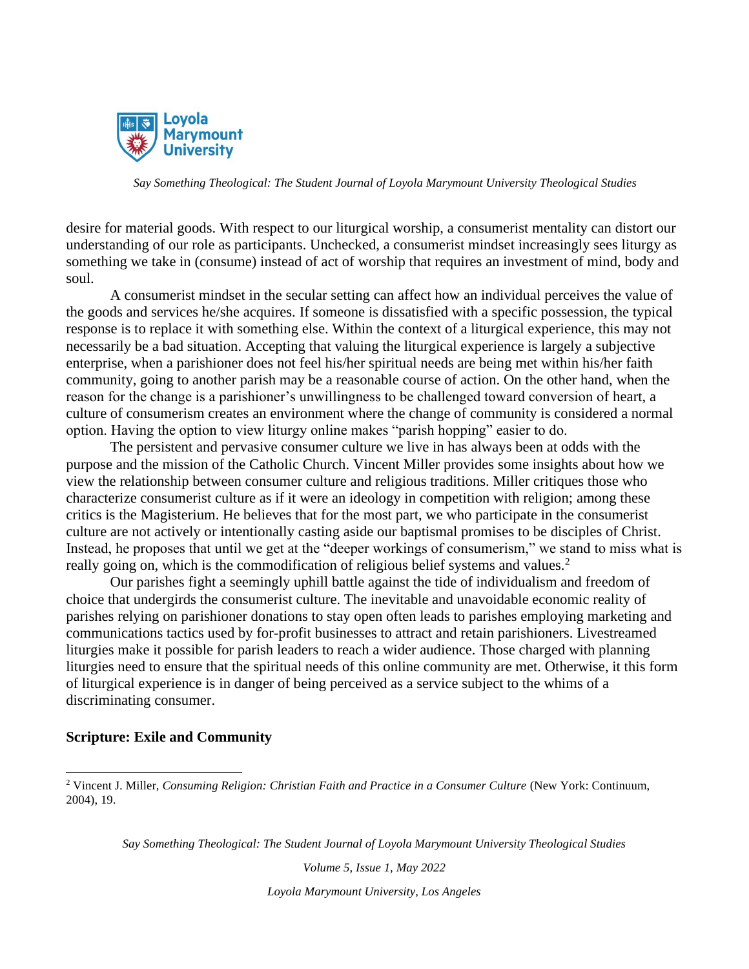

desire for material goods. With respect to our liturgical worship, a consumerist mentality can distort our understanding of our role as participants. Unchecked, a consumerist mindset increasingly sees liturgy as something we take in (consume) instead of act of worship that requires an investment of mind, body and soul.

A consumerist mindset in the secular setting can affect how an individual perceives the value of the goods and services he/she acquires. If someone is dissatisfied with a specific possession, the typical response is to replace it with something else. Within the context of a liturgical experience, this may not necessarily be a bad situation. Accepting that valuing the liturgical experience is largely a subjective enterprise, when a parishioner does not feel his/her spiritual needs are being met within his/her faith community, going to another parish may be a reasonable course of action. On the other hand, when the reason for the change is a parishioner's unwillingness to be challenged toward conversion of heart, a culture of consumerism creates an environment where the change of community is considered a normal option. Having the option to view liturgy online makes "parish hopping" easier to do.

The persistent and pervasive consumer culture we live in has always been at odds with the purpose and the mission of the Catholic Church. Vincent Miller provides some insights about how we view the relationship between consumer culture and religious traditions. Miller critiques those who characterize consumerist culture as if it were an ideology in competition with religion; among these critics is the Magisterium. He believes that for the most part, we who participate in the consumerist culture are not actively or intentionally casting aside our baptismal promises to be disciples of Christ. Instead, he proposes that until we get at the "deeper workings of consumerism," we stand to miss what is really going on, which is the commodification of religious belief systems and values.<sup>2</sup>

Our parishes fight a seemingly uphill battle against the tide of individualism and freedom of choice that undergirds the consumerist culture. The inevitable and unavoidable economic reality of parishes relying on parishioner donations to stay open often leads to parishes employing marketing and communications tactics used by for-profit businesses to attract and retain parishioners. Livestreamed liturgies make it possible for parish leaders to reach a wider audience. Those charged with planning liturgies need to ensure that the spiritual needs of this online community are met. Otherwise, it this form of liturgical experience is in danger of being perceived as a service subject to the whims of a discriminating consumer.

#### **Scripture: Exile and Community**

*Say Something Theological: The Student Journal of Loyola Marymount University Theological Studies*

*Volume 5, Issue 1, May 2022*

<sup>2</sup> Vincent J. Miller, *Consuming Religion: Christian Faith and Practice in a Consumer Culture* (New York: Continuum, 2004), 19.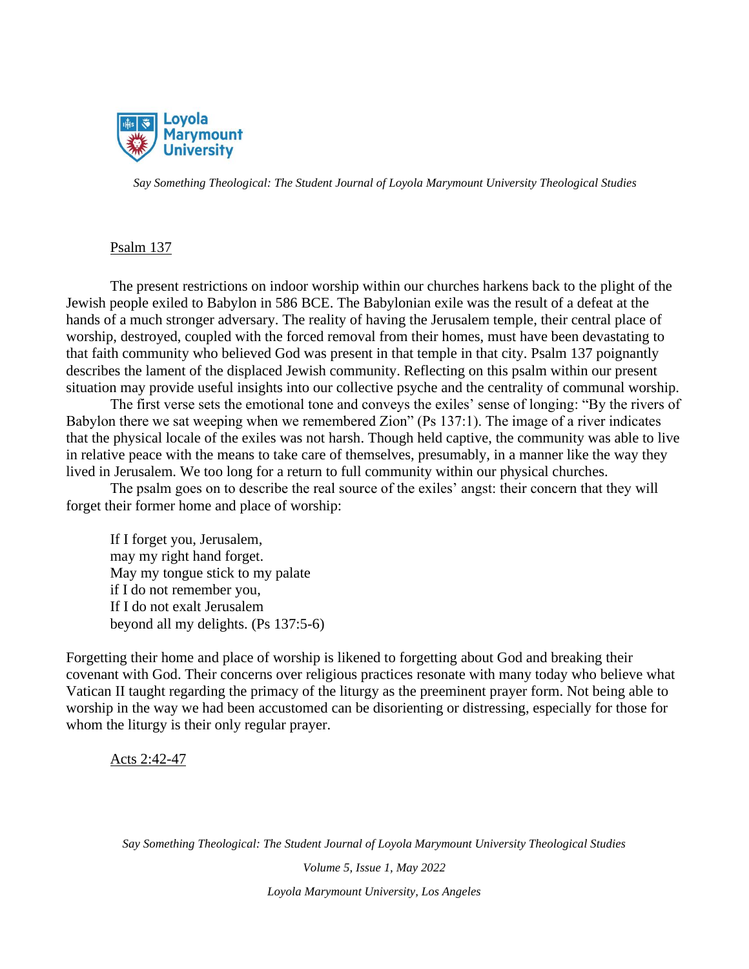

## Psalm 137

The present restrictions on indoor worship within our churches harkens back to the plight of the Jewish people exiled to Babylon in 586 BCE. The Babylonian exile was the result of a defeat at the hands of a much stronger adversary. The reality of having the Jerusalem temple, their central place of worship, destroyed, coupled with the forced removal from their homes, must have been devastating to that faith community who believed God was present in that temple in that city. Psalm 137 poignantly describes the lament of the displaced Jewish community. Reflecting on this psalm within our present situation may provide useful insights into our collective psyche and the centrality of communal worship.

The first verse sets the emotional tone and conveys the exiles' sense of longing: "By the rivers of Babylon there we sat weeping when we remembered Zion" (Ps 137:1). The image of a river indicates that the physical locale of the exiles was not harsh. Though held captive, the community was able to live in relative peace with the means to take care of themselves, presumably, in a manner like the way they lived in Jerusalem. We too long for a return to full community within our physical churches.

The psalm goes on to describe the real source of the exiles' angst: their concern that they will forget their former home and place of worship:

If I forget you, Jerusalem, may my right hand forget. May my tongue stick to my palate if I do not remember you, If I do not exalt Jerusalem beyond all my delights. (Ps 137:5-6)

Forgetting their home and place of worship is likened to forgetting about God and breaking their covenant with God. Their concerns over religious practices resonate with many today who believe what Vatican II taught regarding the primacy of the liturgy as the preeminent prayer form. Not being able to worship in the way we had been accustomed can be disorienting or distressing, especially for those for whom the liturgy is their only regular prayer.

Acts 2:42-47

*Say Something Theological: The Student Journal of Loyola Marymount University Theological Studies*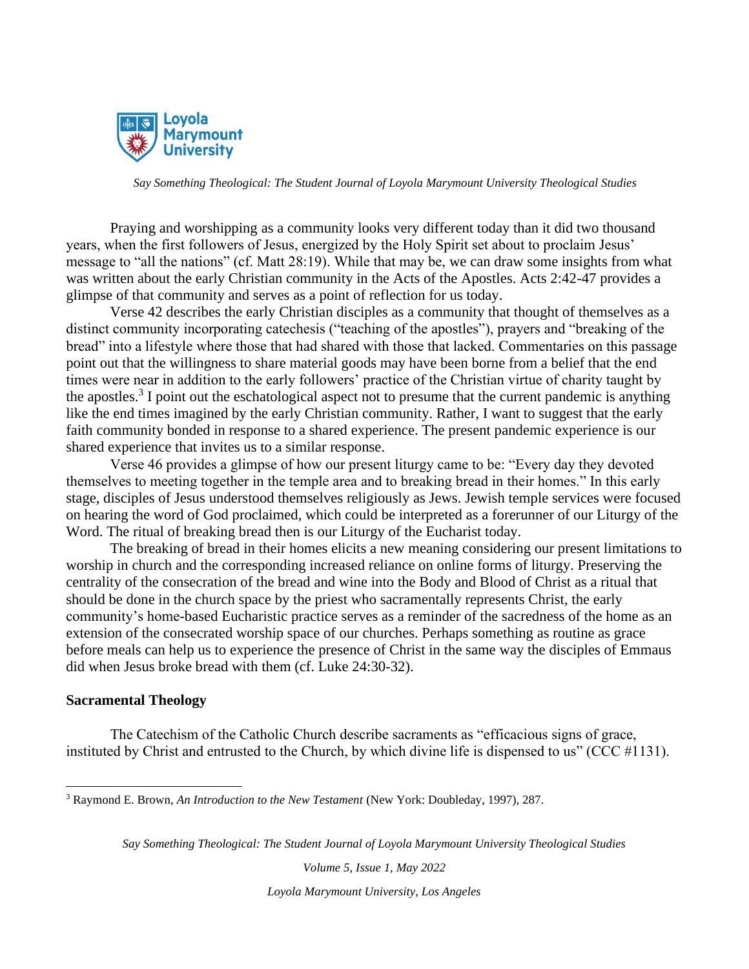

Praying and worshipping as a community looks very different today than it did two thousand years, when the first followers of Jesus, energized by the Holy Spirit set about to proclaim Jesus' message to "all the nations" (cf. Matt 28:19). While that may be, we can draw some insights from what was written about the early Christian community in the Acts of the Apostles. Acts 2:42-47 provides a glimpse of that community and serves as a point of reflection for us today.

Verse 42 describes the early Christian disciples as a community that thought of themselves as a distinct community incorporating catechesis ("teaching of the apostles"), prayers and "breaking of the bread" into a lifestyle where those that had shared with those that lacked. Commentaries on this passage point out that the willingness to share material goods may have been borne from a belief that the end times were near in addition to the early followers' practice of the Christian virtue of charity taught by the apostles.<sup>3</sup> I point out the eschatological aspect not to presume that the current pandemic is anything like the end times imagined by the early Christian community. Rather, I want to suggest that the early faith community bonded in response to a shared experience. The present pandemic experience is our shared experience that invites us to a similar response.

Verse 46 provides a glimpse of how our present liturgy came to be: "Every day they devoted themselves to meeting together in the temple area and to breaking bread in their homes." In this early stage, disciples of Jesus understood themselves religiously as Jews. Jewish temple services were focused on hearing the word of God proclaimed, which could be interpreted as a forerunner of our Liturgy of the Word. The ritual of breaking bread then is our Liturgy of the Eucharist today.

The breaking of bread in their homes elicits a new meaning considering our present limitations to worship in church and the corresponding increased reliance on online forms of liturgy. Preserving the centrality of the consecration of the bread and wine into the Body and Blood of Christ as a ritual that should be done in the church space by the priest who sacramentally represents Christ, the early community's home-based Eucharistic practice serves as a reminder of the sacredness of the home as an extension of the consecrated worship space of our churches. Perhaps something as routine as grace before meals can help us to experience the presence of Christ in the same way the disciples of Emmaus did when Jesus broke bread with them (cf. Luke 24:30-32).

#### **Sacramental Theology**

The Catechism of the Catholic Church describe sacraments as "efficacious signs of grace, instituted by Christ and entrusted to the Church, by which divine life is dispensed to us" (CCC #1131).

*Say Something Theological: The Student Journal of Loyola Marymount University Theological Studies*

*Volume 5, Issue 1, May 2022*

<sup>3</sup> Raymond E. Brown, *An Introduction to the New Testament* (New York: Doubleday, 1997), 287.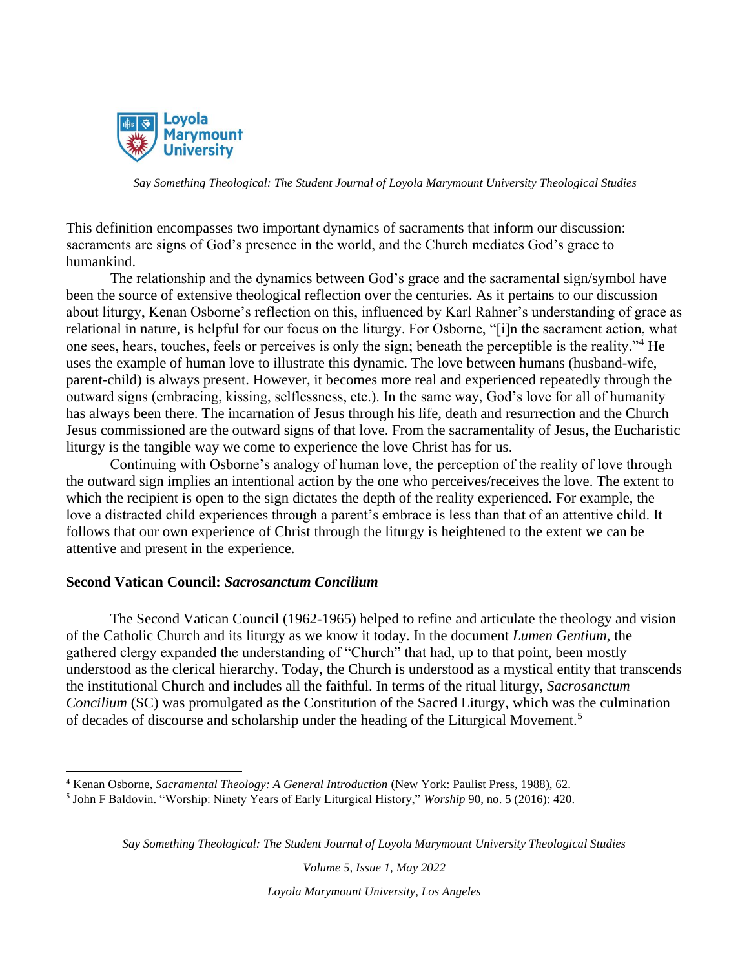

This definition encompasses two important dynamics of sacraments that inform our discussion: sacraments are signs of God's presence in the world, and the Church mediates God's grace to humankind.

The relationship and the dynamics between God's grace and the sacramental sign/symbol have been the source of extensive theological reflection over the centuries. As it pertains to our discussion about liturgy, Kenan Osborne's reflection on this, influenced by Karl Rahner's understanding of grace as relational in nature, is helpful for our focus on the liturgy. For Osborne, "[i]n the sacrament action, what one sees, hears, touches, feels or perceives is only the sign; beneath the perceptible is the reality."<sup>4</sup> He uses the example of human love to illustrate this dynamic. The love between humans (husband-wife, parent-child) is always present. However, it becomes more real and experienced repeatedly through the outward signs (embracing, kissing, selflessness, etc.). In the same way, God's love for all of humanity has always been there. The incarnation of Jesus through his life, death and resurrection and the Church Jesus commissioned are the outward signs of that love. From the sacramentality of Jesus, the Eucharistic liturgy is the tangible way we come to experience the love Christ has for us.

Continuing with Osborne's analogy of human love, the perception of the reality of love through the outward sign implies an intentional action by the one who perceives/receives the love. The extent to which the recipient is open to the sign dictates the depth of the reality experienced. For example, the love a distracted child experiences through a parent's embrace is less than that of an attentive child. It follows that our own experience of Christ through the liturgy is heightened to the extent we can be attentive and present in the experience.

## **Second Vatican Council:** *Sacrosanctum Concilium*

The Second Vatican Council (1962-1965) helped to refine and articulate the theology and vision of the Catholic Church and its liturgy as we know it today. In the document *Lumen Gentium*, the gathered clergy expanded the understanding of "Church" that had, up to that point, been mostly understood as the clerical hierarchy. Today, the Church is understood as a mystical entity that transcends the institutional Church and includes all the faithful. In terms of the ritual liturgy, *Sacrosanctum Concilium* (SC) was promulgated as the Constitution of the Sacred Liturgy, which was the culmination of decades of discourse and scholarship under the heading of the Liturgical Movement.<sup>5</sup>

*Say Something Theological: The Student Journal of Loyola Marymount University Theological Studies*

*Volume 5, Issue 1, May 2022*

<sup>4</sup> Kenan Osborne, *Sacramental Theology: A General Introduction* (New York: Paulist Press, 1988), 62.

<sup>5</sup> John F Baldovin. "Worship: Ninety Years of Early Liturgical History," *Worship* 90, no. 5 (2016): 420.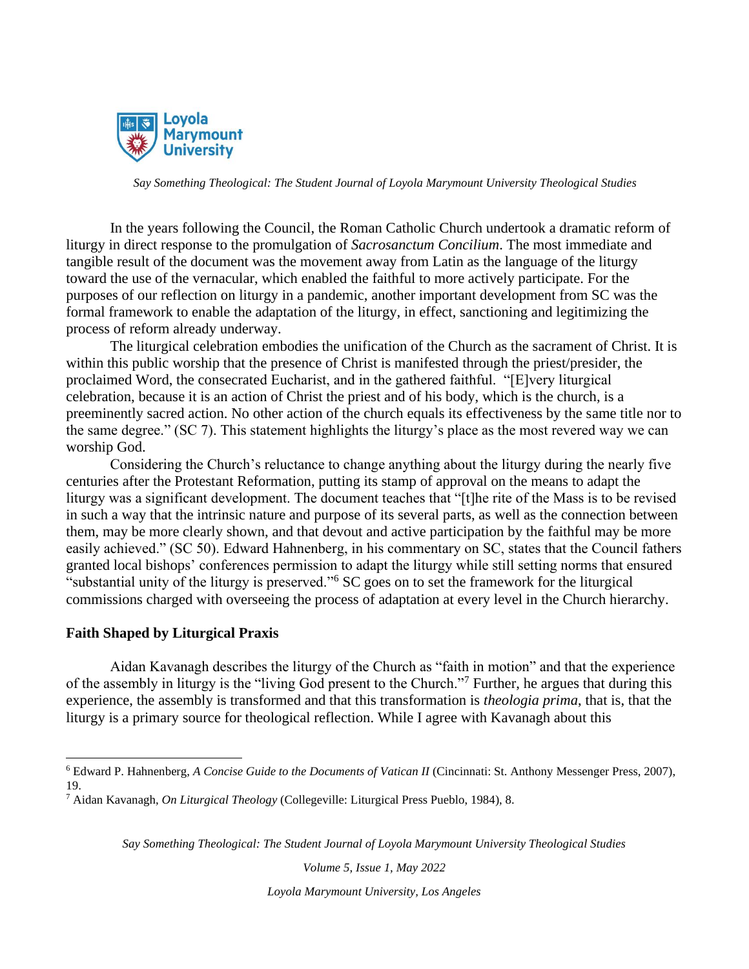

In the years following the Council, the Roman Catholic Church undertook a dramatic reform of liturgy in direct response to the promulgation of *Sacrosanctum Concilium*. The most immediate and tangible result of the document was the movement away from Latin as the language of the liturgy toward the use of the vernacular, which enabled the faithful to more actively participate. For the purposes of our reflection on liturgy in a pandemic, another important development from SC was the formal framework to enable the adaptation of the liturgy, in effect, sanctioning and legitimizing the process of reform already underway.

The liturgical celebration embodies the unification of the Church as the sacrament of Christ. It is within this public worship that the presence of Christ is manifested through the priest/presider, the proclaimed Word, the consecrated Eucharist, and in the gathered faithful. "[E]very liturgical celebration, because it is an action of Christ the priest and of his body, which is the church, is a preeminently sacred action. No other action of the church equals its effectiveness by the same title nor to the same degree." (SC 7). This statement highlights the liturgy's place as the most revered way we can worship God.

Considering the Church's reluctance to change anything about the liturgy during the nearly five centuries after the Protestant Reformation, putting its stamp of approval on the means to adapt the liturgy was a significant development. The document teaches that "[t]he rite of the Mass is to be revised in such a way that the intrinsic nature and purpose of its several parts, as well as the connection between them, may be more clearly shown, and that devout and active participation by the faithful may be more easily achieved." (SC 50). Edward Hahnenberg, in his commentary on SC, states that the Council fathers granted local bishops' conferences permission to adapt the liturgy while still setting norms that ensured "substantial unity of the liturgy is preserved."<sup>6</sup> SC goes on to set the framework for the liturgical commissions charged with overseeing the process of adaptation at every level in the Church hierarchy.

## **Faith Shaped by Liturgical Praxis**

Aidan Kavanagh describes the liturgy of the Church as "faith in motion" and that the experience of the assembly in liturgy is the "living God present to the Church."<sup>7</sup> Further, he argues that during this experience, the assembly is transformed and that this transformation is *theologia prima*, that is, that the liturgy is a primary source for theological reflection. While I agree with Kavanagh about this

*Say Something Theological: The Student Journal of Loyola Marymount University Theological Studies*

*Volume 5, Issue 1, May 2022*

<sup>6</sup> Edward P. Hahnenberg, *A Concise Guide to the Documents of Vatican II* (Cincinnati: St. Anthony Messenger Press, 2007), 19.

<sup>7</sup> Aidan Kavanagh, *On Liturgical Theology* (Collegeville: Liturgical Press Pueblo, 1984), 8.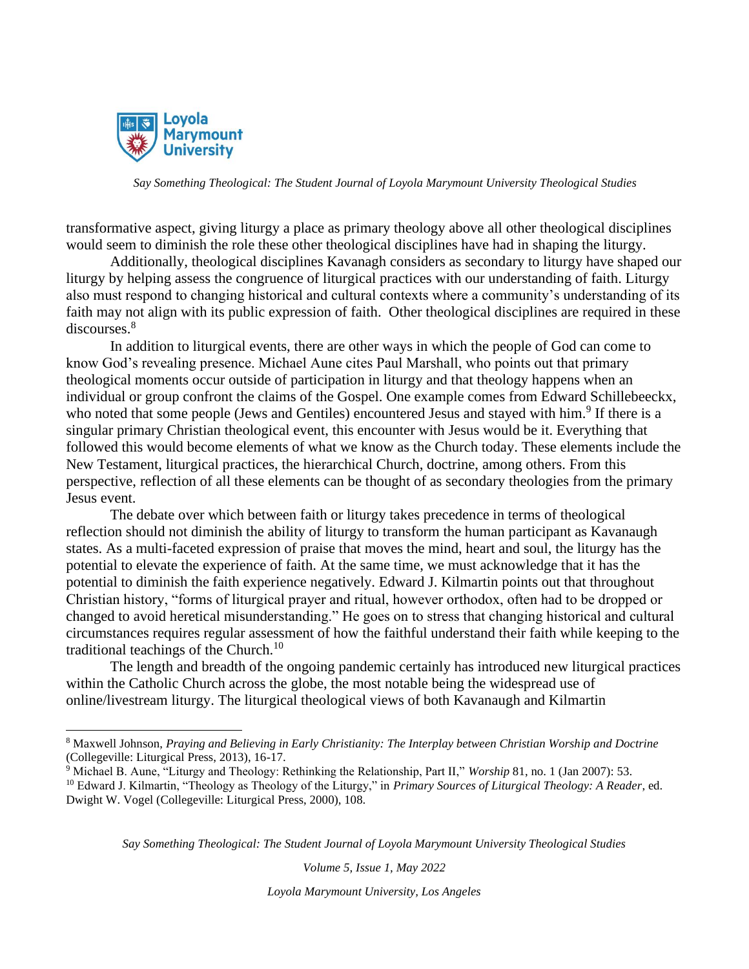

transformative aspect, giving liturgy a place as primary theology above all other theological disciplines would seem to diminish the role these other theological disciplines have had in shaping the liturgy.

Additionally, theological disciplines Kavanagh considers as secondary to liturgy have shaped our liturgy by helping assess the congruence of liturgical practices with our understanding of faith. Liturgy also must respond to changing historical and cultural contexts where a community's understanding of its faith may not align with its public expression of faith. Other theological disciplines are required in these discourses.<sup>8</sup>

In addition to liturgical events, there are other ways in which the people of God can come to know God's revealing presence. Michael Aune cites Paul Marshall, who points out that primary theological moments occur outside of participation in liturgy and that theology happens when an individual or group confront the claims of the Gospel. One example comes from Edward Schillebeeckx, who noted that some people (Jews and Gentiles) encountered Jesus and stayed with him.<sup>9</sup> If there is a singular primary Christian theological event, this encounter with Jesus would be it. Everything that followed this would become elements of what we know as the Church today. These elements include the New Testament, liturgical practices, the hierarchical Church, doctrine, among others. From this perspective, reflection of all these elements can be thought of as secondary theologies from the primary Jesus event.

The debate over which between faith or liturgy takes precedence in terms of theological reflection should not diminish the ability of liturgy to transform the human participant as Kavanaugh states. As a multi-faceted expression of praise that moves the mind, heart and soul, the liturgy has the potential to elevate the experience of faith. At the same time, we must acknowledge that it has the potential to diminish the faith experience negatively. Edward J. Kilmartin points out that throughout Christian history, "forms of liturgical prayer and ritual, however orthodox, often had to be dropped or changed to avoid heretical misunderstanding." He goes on to stress that changing historical and cultural circumstances requires regular assessment of how the faithful understand their faith while keeping to the traditional teachings of the Church.<sup>10</sup>

The length and breadth of the ongoing pandemic certainly has introduced new liturgical practices within the Catholic Church across the globe, the most notable being the widespread use of online/livestream liturgy. The liturgical theological views of both Kavanaugh and Kilmartin

*Say Something Theological: The Student Journal of Loyola Marymount University Theological Studies*

*Volume 5, Issue 1, May 2022*

<sup>8</sup> Maxwell Johnson, *Praying and Believing in Early Christianity: The Interplay between Christian Worship and Doctrine* (Collegeville: Liturgical Press, 2013), 16-17.

<sup>9</sup> Michael B. Aune, "Liturgy and Theology: Rethinking the Relationship, Part II," *Worship* 81, no. 1 (Jan 2007): 53.

<sup>10</sup> Edward J. Kilmartin, "Theology as Theology of the Liturgy," in *Primary Sources of Liturgical Theology: A Reader*, ed. Dwight W. Vogel (Collegeville: Liturgical Press, 2000), 108.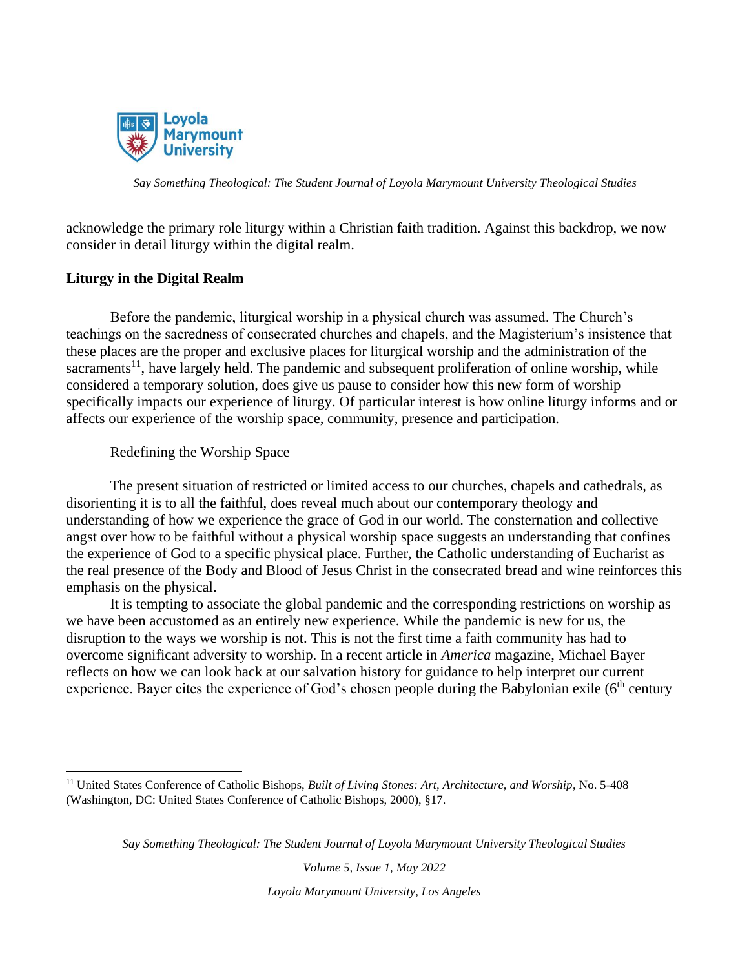

acknowledge the primary role liturgy within a Christian faith tradition. Against this backdrop, we now consider in detail liturgy within the digital realm.

## **Liturgy in the Digital Realm**

Before the pandemic, liturgical worship in a physical church was assumed. The Church's teachings on the sacredness of consecrated churches and chapels, and the Magisterium's insistence that these places are the proper and exclusive places for liturgical worship and the administration of the sacraments<sup>11</sup>, have largely held. The pandemic and subsequent proliferation of online worship, while considered a temporary solution, does give us pause to consider how this new form of worship specifically impacts our experience of liturgy. Of particular interest is how online liturgy informs and or affects our experience of the worship space, community, presence and participation.

## Redefining the Worship Space

The present situation of restricted or limited access to our churches, chapels and cathedrals, as disorienting it is to all the faithful, does reveal much about our contemporary theology and understanding of how we experience the grace of God in our world. The consternation and collective angst over how to be faithful without a physical worship space suggests an understanding that confines the experience of God to a specific physical place. Further, the Catholic understanding of Eucharist as the real presence of the Body and Blood of Jesus Christ in the consecrated bread and wine reinforces this emphasis on the physical.

It is tempting to associate the global pandemic and the corresponding restrictions on worship as we have been accustomed as an entirely new experience. While the pandemic is new for us, the disruption to the ways we worship is not. This is not the first time a faith community has had to overcome significant adversity to worship. In a recent article in *America* magazine, Michael Bayer reflects on how we can look back at our salvation history for guidance to help interpret our current experience. Bayer cites the experience of God's chosen people during the Babylonian exile ( $6<sup>th</sup>$  century

*Say Something Theological: The Student Journal of Loyola Marymount University Theological Studies*

*Volume 5, Issue 1, May 2022*

<sup>11</sup> United States Conference of Catholic Bishops, *Built of Living Stones: Art, Architecture, and Worship*, No. 5-408 (Washington, DC: United States Conference of Catholic Bishops, 2000), §17.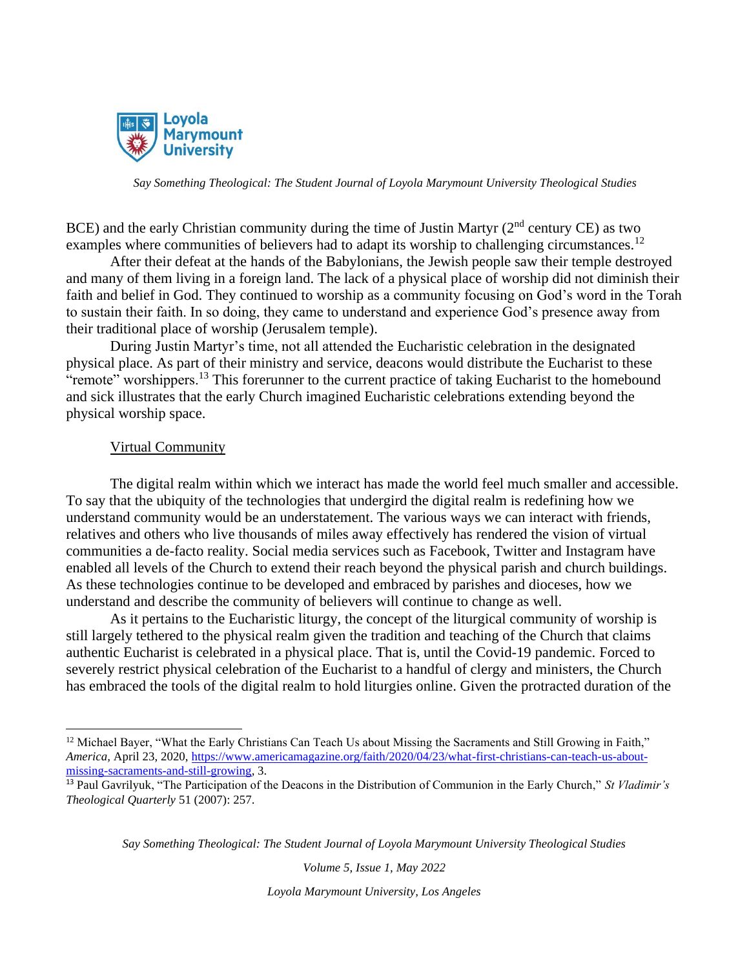

BCE) and the early Christian community during the time of Justin Martyr  $(2<sup>nd</sup>$  century CE) as two examples where communities of believers had to adapt its worship to challenging circumstances.<sup>12</sup>

After their defeat at the hands of the Babylonians, the Jewish people saw their temple destroyed and many of them living in a foreign land. The lack of a physical place of worship did not diminish their faith and belief in God. They continued to worship as a community focusing on God's word in the Torah to sustain their faith. In so doing, they came to understand and experience God's presence away from their traditional place of worship (Jerusalem temple).

During Justin Martyr's time, not all attended the Eucharistic celebration in the designated physical place. As part of their ministry and service, deacons would distribute the Eucharist to these "remote" worshippers.<sup>13</sup> This forerunner to the current practice of taking Eucharist to the homebound and sick illustrates that the early Church imagined Eucharistic celebrations extending beyond the physical worship space.

#### Virtual Community

The digital realm within which we interact has made the world feel much smaller and accessible. To say that the ubiquity of the technologies that undergird the digital realm is redefining how we understand community would be an understatement. The various ways we can interact with friends, relatives and others who live thousands of miles away effectively has rendered the vision of virtual communities a de-facto reality. Social media services such as Facebook, Twitter and Instagram have enabled all levels of the Church to extend their reach beyond the physical parish and church buildings. As these technologies continue to be developed and embraced by parishes and dioceses, how we understand and describe the community of believers will continue to change as well.

As it pertains to the Eucharistic liturgy, the concept of the liturgical community of worship is still largely tethered to the physical realm given the tradition and teaching of the Church that claims authentic Eucharist is celebrated in a physical place. That is, until the Covid-19 pandemic. Forced to severely restrict physical celebration of the Eucharist to a handful of clergy and ministers, the Church has embraced the tools of the digital realm to hold liturgies online. Given the protracted duration of the

*Say Something Theological: The Student Journal of Loyola Marymount University Theological Studies*

*Volume 5, Issue 1, May 2022*

<sup>&</sup>lt;sup>12</sup> Michael Bayer, "What the Early Christians Can Teach Us about Missing the Sacraments and Still Growing in Faith," *America,* April 23, 2020, [https://www.americamagazine.org/faith/2020/04/23/what-first-christians-can-teach-us-about](https://www.americamagazine.org/faith/2020/04/23/what-first-christians-can-teach-us-about-missing-sacraments-and-still-growing?utm_source=piano&utm_medium=email&utm_campaign=3071&pnespid=i.lgp_RXXgeN0jZmUIuUPivjjURXzJXJakuuRBmi)[missing-sacraments-and-still-growing,](https://www.americamagazine.org/faith/2020/04/23/what-first-christians-can-teach-us-about-missing-sacraments-and-still-growing?utm_source=piano&utm_medium=email&utm_campaign=3071&pnespid=i.lgp_RXXgeN0jZmUIuUPivjjURXzJXJakuuRBmi) 3.

<sup>13</sup> Paul Gavrilyuk, "The Participation of the Deacons in the Distribution of Communion in the Early Church," *St Vladimir's Theological Quarterly* 51 (2007): 257.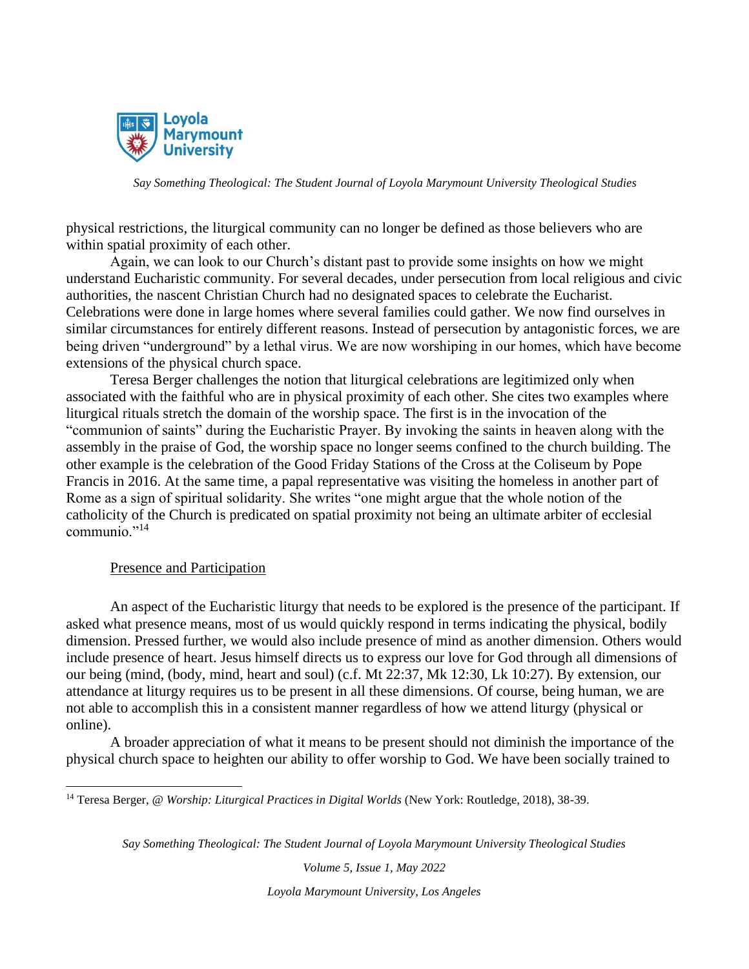

physical restrictions, the liturgical community can no longer be defined as those believers who are within spatial proximity of each other.

Again, we can look to our Church's distant past to provide some insights on how we might understand Eucharistic community. For several decades, under persecution from local religious and civic authorities, the nascent Christian Church had no designated spaces to celebrate the Eucharist. Celebrations were done in large homes where several families could gather. We now find ourselves in similar circumstances for entirely different reasons. Instead of persecution by antagonistic forces, we are being driven "underground" by a lethal virus. We are now worshiping in our homes, which have become extensions of the physical church space.

Teresa Berger challenges the notion that liturgical celebrations are legitimized only when associated with the faithful who are in physical proximity of each other. She cites two examples where liturgical rituals stretch the domain of the worship space. The first is in the invocation of the "communion of saints" during the Eucharistic Prayer. By invoking the saints in heaven along with the assembly in the praise of God, the worship space no longer seems confined to the church building. The other example is the celebration of the Good Friday Stations of the Cross at the Coliseum by Pope Francis in 2016. At the same time, a papal representative was visiting the homeless in another part of Rome as a sign of spiritual solidarity. She writes "one might argue that the whole notion of the catholicity of the Church is predicated on spatial proximity not being an ultimate arbiter of ecclesial communio."<sup>14</sup>

#### Presence and Participation

An aspect of the Eucharistic liturgy that needs to be explored is the presence of the participant. If asked what presence means, most of us would quickly respond in terms indicating the physical, bodily dimension. Pressed further, we would also include presence of mind as another dimension. Others would include presence of heart. Jesus himself directs us to express our love for God through all dimensions of our being (mind, (body, mind, heart and soul) (c.f. Mt 22:37, Mk 12:30, Lk 10:27). By extension, our attendance at liturgy requires us to be present in all these dimensions. Of course, being human, we are not able to accomplish this in a consistent manner regardless of how we attend liturgy (physical or online).

A broader appreciation of what it means to be present should not diminish the importance of the physical church space to heighten our ability to offer worship to God. We have been socially trained to

<sup>14</sup> Teresa Berger, *@ Worship: Liturgical Practices in Digital Worlds* (New York: Routledge, 2018), 38-39.

*Say Something Theological: The Student Journal of Loyola Marymount University Theological Studies*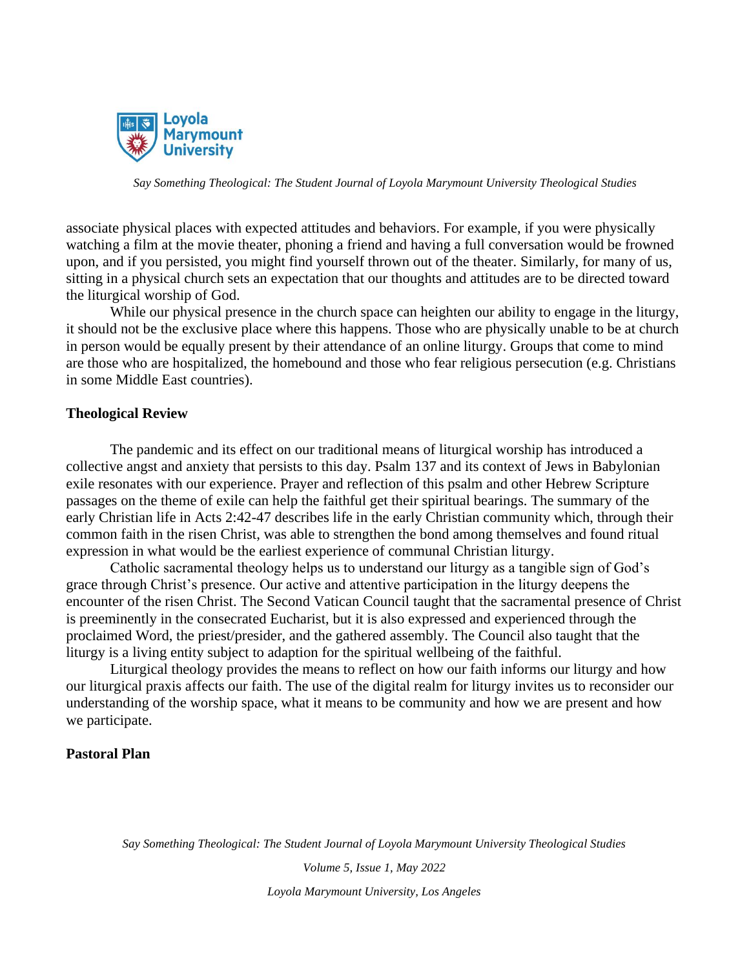

associate physical places with expected attitudes and behaviors. For example, if you were physically watching a film at the movie theater, phoning a friend and having a full conversation would be frowned upon, and if you persisted, you might find yourself thrown out of the theater. Similarly, for many of us, sitting in a physical church sets an expectation that our thoughts and attitudes are to be directed toward the liturgical worship of God.

While our physical presence in the church space can heighten our ability to engage in the liturgy, it should not be the exclusive place where this happens. Those who are physically unable to be at church in person would be equally present by their attendance of an online liturgy. Groups that come to mind are those who are hospitalized, the homebound and those who fear religious persecution (e.g. Christians in some Middle East countries).

#### **Theological Review**

The pandemic and its effect on our traditional means of liturgical worship has introduced a collective angst and anxiety that persists to this day. Psalm 137 and its context of Jews in Babylonian exile resonates with our experience. Prayer and reflection of this psalm and other Hebrew Scripture passages on the theme of exile can help the faithful get their spiritual bearings. The summary of the early Christian life in Acts 2:42-47 describes life in the early Christian community which, through their common faith in the risen Christ, was able to strengthen the bond among themselves and found ritual expression in what would be the earliest experience of communal Christian liturgy.

Catholic sacramental theology helps us to understand our liturgy as a tangible sign of God's grace through Christ's presence. Our active and attentive participation in the liturgy deepens the encounter of the risen Christ. The Second Vatican Council taught that the sacramental presence of Christ is preeminently in the consecrated Eucharist, but it is also expressed and experienced through the proclaimed Word, the priest/presider, and the gathered assembly. The Council also taught that the liturgy is a living entity subject to adaption for the spiritual wellbeing of the faithful.

Liturgical theology provides the means to reflect on how our faith informs our liturgy and how our liturgical praxis affects our faith. The use of the digital realm for liturgy invites us to reconsider our understanding of the worship space, what it means to be community and how we are present and how we participate.

## **Pastoral Plan**

*Say Something Theological: The Student Journal of Loyola Marymount University Theological Studies*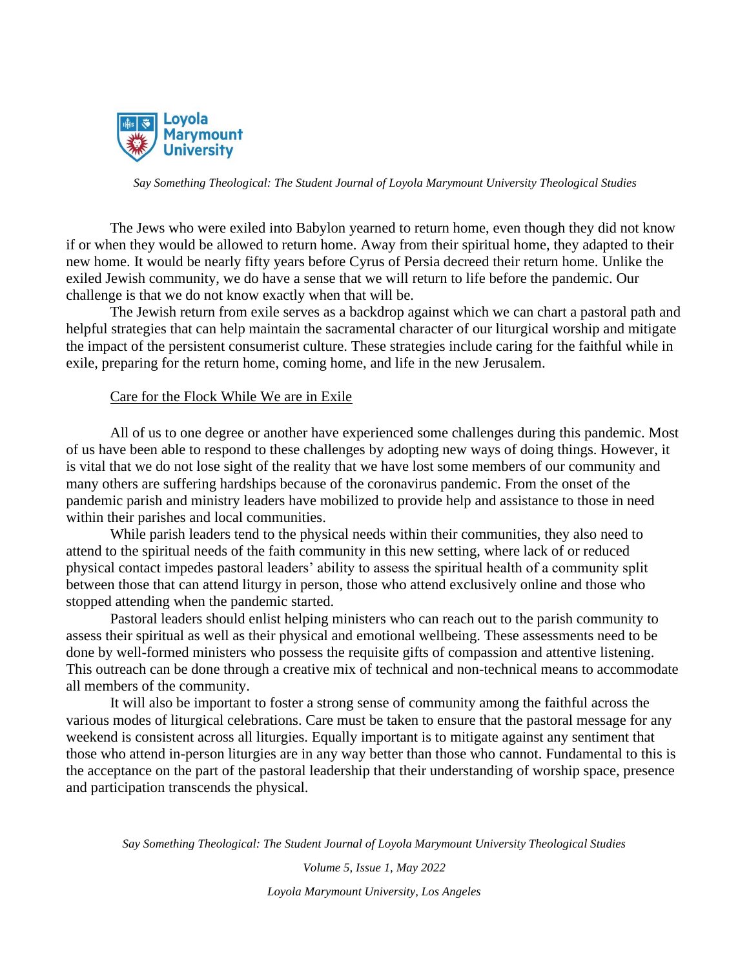

The Jews who were exiled into Babylon yearned to return home, even though they did not know if or when they would be allowed to return home. Away from their spiritual home, they adapted to their new home. It would be nearly fifty years before Cyrus of Persia decreed their return home. Unlike the exiled Jewish community, we do have a sense that we will return to life before the pandemic. Our challenge is that we do not know exactly when that will be.

The Jewish return from exile serves as a backdrop against which we can chart a pastoral path and helpful strategies that can help maintain the sacramental character of our liturgical worship and mitigate the impact of the persistent consumerist culture. These strategies include caring for the faithful while in exile, preparing for the return home, coming home, and life in the new Jerusalem.

#### Care for the Flock While We are in Exile

All of us to one degree or another have experienced some challenges during this pandemic. Most of us have been able to respond to these challenges by adopting new ways of doing things. However, it is vital that we do not lose sight of the reality that we have lost some members of our community and many others are suffering hardships because of the coronavirus pandemic. From the onset of the pandemic parish and ministry leaders have mobilized to provide help and assistance to those in need within their parishes and local communities.

While parish leaders tend to the physical needs within their communities, they also need to attend to the spiritual needs of the faith community in this new setting, where lack of or reduced physical contact impedes pastoral leaders' ability to assess the spiritual health of a community split between those that can attend liturgy in person, those who attend exclusively online and those who stopped attending when the pandemic started.

Pastoral leaders should enlist helping ministers who can reach out to the parish community to assess their spiritual as well as their physical and emotional wellbeing. These assessments need to be done by well-formed ministers who possess the requisite gifts of compassion and attentive listening. This outreach can be done through a creative mix of technical and non-technical means to accommodate all members of the community.

It will also be important to foster a strong sense of community among the faithful across the various modes of liturgical celebrations. Care must be taken to ensure that the pastoral message for any weekend is consistent across all liturgies. Equally important is to mitigate against any sentiment that those who attend in-person liturgies are in any way better than those who cannot. Fundamental to this is the acceptance on the part of the pastoral leadership that their understanding of worship space, presence and participation transcends the physical.

*Say Something Theological: The Student Journal of Loyola Marymount University Theological Studies*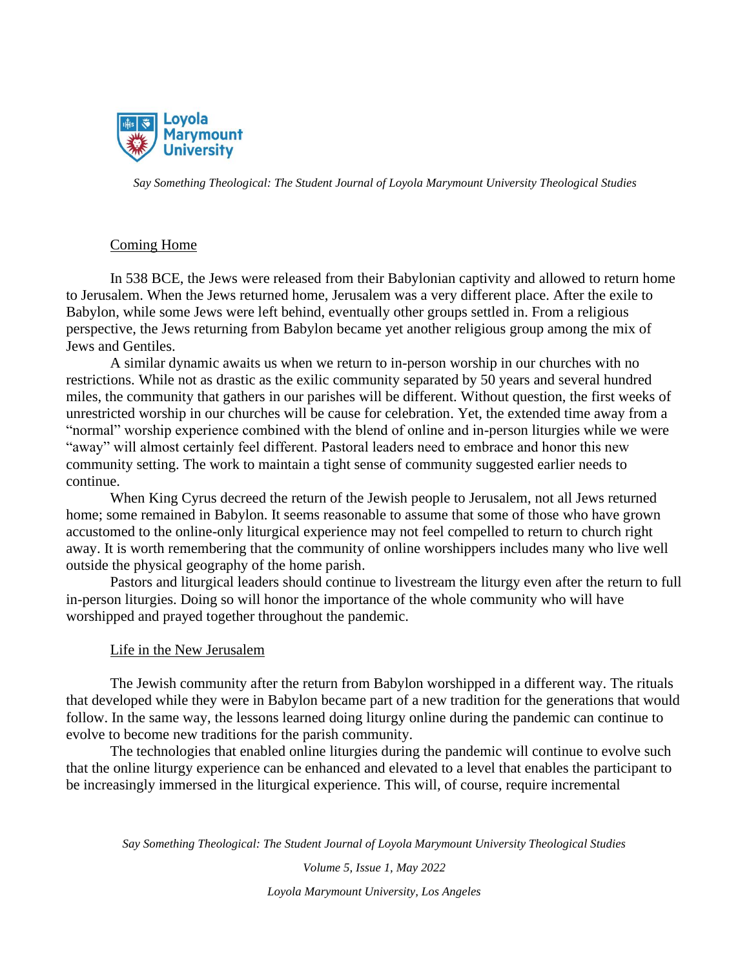

## Coming Home

In 538 BCE, the Jews were released from their Babylonian captivity and allowed to return home to Jerusalem. When the Jews returned home, Jerusalem was a very different place. After the exile to Babylon, while some Jews were left behind, eventually other groups settled in. From a religious perspective, the Jews returning from Babylon became yet another religious group among the mix of Jews and Gentiles.

A similar dynamic awaits us when we return to in-person worship in our churches with no restrictions. While not as drastic as the exilic community separated by 50 years and several hundred miles, the community that gathers in our parishes will be different. Without question, the first weeks of unrestricted worship in our churches will be cause for celebration. Yet, the extended time away from a "normal" worship experience combined with the blend of online and in-person liturgies while we were "away" will almost certainly feel different. Pastoral leaders need to embrace and honor this new community setting. The work to maintain a tight sense of community suggested earlier needs to continue.

When King Cyrus decreed the return of the Jewish people to Jerusalem, not all Jews returned home; some remained in Babylon. It seems reasonable to assume that some of those who have grown accustomed to the online-only liturgical experience may not feel compelled to return to church right away. It is worth remembering that the community of online worshippers includes many who live well outside the physical geography of the home parish.

Pastors and liturgical leaders should continue to livestream the liturgy even after the return to full in-person liturgies. Doing so will honor the importance of the whole community who will have worshipped and prayed together throughout the pandemic.

## Life in the New Jerusalem

The Jewish community after the return from Babylon worshipped in a different way. The rituals that developed while they were in Babylon became part of a new tradition for the generations that would follow. In the same way, the lessons learned doing liturgy online during the pandemic can continue to evolve to become new traditions for the parish community.

The technologies that enabled online liturgies during the pandemic will continue to evolve such that the online liturgy experience can be enhanced and elevated to a level that enables the participant to be increasingly immersed in the liturgical experience. This will, of course, require incremental

*Say Something Theological: The Student Journal of Loyola Marymount University Theological Studies*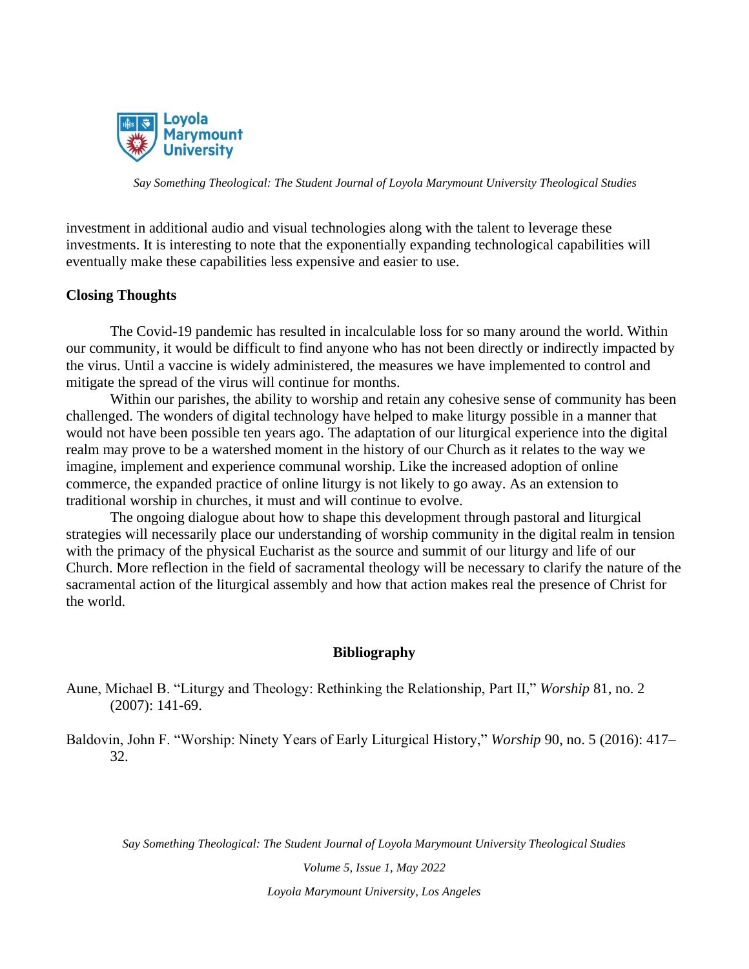

investment in additional audio and visual technologies along with the talent to leverage these investments. It is interesting to note that the exponentially expanding technological capabilities will eventually make these capabilities less expensive and easier to use.

## **Closing Thoughts**

The Covid-19 pandemic has resulted in incalculable loss for so many around the world. Within our community, it would be difficult to find anyone who has not been directly or indirectly impacted by the virus. Until a vaccine is widely administered, the measures we have implemented to control and mitigate the spread of the virus will continue for months.

Within our parishes, the ability to worship and retain any cohesive sense of community has been challenged. The wonders of digital technology have helped to make liturgy possible in a manner that would not have been possible ten years ago. The adaptation of our liturgical experience into the digital realm may prove to be a watershed moment in the history of our Church as it relates to the way we imagine, implement and experience communal worship. Like the increased adoption of online commerce, the expanded practice of online liturgy is not likely to go away. As an extension to traditional worship in churches, it must and will continue to evolve.

The ongoing dialogue about how to shape this development through pastoral and liturgical strategies will necessarily place our understanding of worship community in the digital realm in tension with the primacy of the physical Eucharist as the source and summit of our liturgy and life of our Church. More reflection in the field of sacramental theology will be necessary to clarify the nature of the sacramental action of the liturgical assembly and how that action makes real the presence of Christ for the world.

#### **Bibliography**

Aune, Michael B. "Liturgy and Theology: Rethinking the Relationship, Part II," *Worship* 81, no. 2 (2007): 141-69.

Baldovin, John F. "Worship: Ninety Years of Early Liturgical History," *Worship* 90, no. 5 (2016): 417– 32.

*Say Something Theological: The Student Journal of Loyola Marymount University Theological Studies*

*Volume 5, Issue 1, May 2022*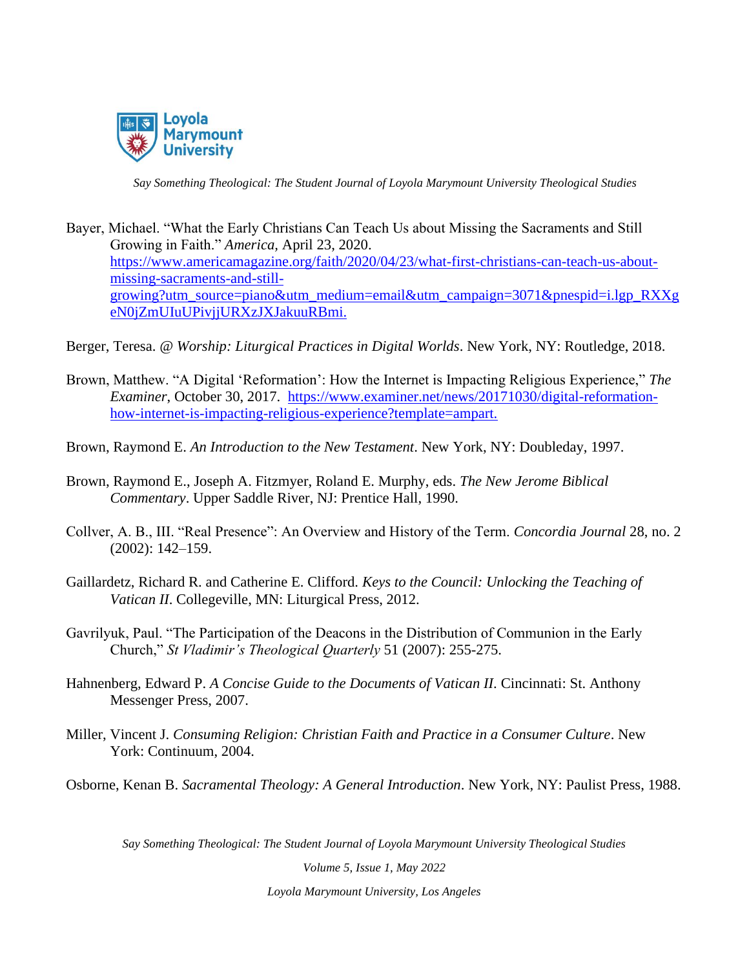

- Bayer, Michael. "What the Early Christians Can Teach Us about Missing the Sacraments and Still Growing in Faith." *America,* April 23, 2020. [https://www.americamagazine.org/faith/2020/04/23/what-first-christians-can-teach-us-about](https://www.americamagazine.org/faith/2020/04/23/what-first-christians-can-teach-us-about-missing-sacraments-and-still-growing?utm_source=piano&utm_medium=email&utm_campaign=3071&pnespid=i.lgp_RXXgeN0jZmUIuUPivjjURXzJXJakuuRBmi.)[missing-sacraments-and-still](https://www.americamagazine.org/faith/2020/04/23/what-first-christians-can-teach-us-about-missing-sacraments-and-still-growing?utm_source=piano&utm_medium=email&utm_campaign=3071&pnespid=i.lgp_RXXgeN0jZmUIuUPivjjURXzJXJakuuRBmi.)[growing?utm\\_source=piano&utm\\_medium=email&utm\\_campaign=3071&pnespid=i.lgp\\_RXXg](https://www.americamagazine.org/faith/2020/04/23/what-first-christians-can-teach-us-about-missing-sacraments-and-still-growing?utm_source=piano&utm_medium=email&utm_campaign=3071&pnespid=i.lgp_RXXgeN0jZmUIuUPivjjURXzJXJakuuRBmi.) [eN0jZmUIuUPivjjURXzJXJakuuRBmi.](https://www.americamagazine.org/faith/2020/04/23/what-first-christians-can-teach-us-about-missing-sacraments-and-still-growing?utm_source=piano&utm_medium=email&utm_campaign=3071&pnespid=i.lgp_RXXgeN0jZmUIuUPivjjURXzJXJakuuRBmi.)
- Berger, Teresa. *@ Worship: Liturgical Practices in Digital Worlds*. New York, NY: Routledge, 2018.
- Brown, Matthew. "A Digital 'Reformation': How the Internet is Impacting Religious Experience," *The Examiner*, October 30, 2017. [https://www.examiner.net/news/20171030/digital-reformation](https://www.examiner.net/news/20171030/digital-reformation-how-internet-is-impacting-religious-experience?template=ampart.)[how-internet-is-impacting-religious-experience?template=ampart.](https://www.examiner.net/news/20171030/digital-reformation-how-internet-is-impacting-religious-experience?template=ampart.)
- Brown, Raymond E. *An Introduction to the New Testament*. New York, NY: Doubleday, 1997.
- Brown, Raymond E., Joseph A. Fitzmyer, Roland E. Murphy, eds. *The New Jerome Biblical Commentary*. Upper Saddle River, NJ: Prentice Hall, 1990.
- Collver, A. B., III. "Real Presence": An Overview and History of the Term. *Concordia Journal* 28, no. 2 (2002): 142–159.
- Gaillardetz, Richard R. and Catherine E. Clifford. *Keys to the Council: Unlocking the Teaching of Vatican II*. Collegeville, MN: Liturgical Press, 2012.
- Gavrilyuk, Paul. "The Participation of the Deacons in the Distribution of Communion in the Early Church," *St Vladimir's Theological Quarterly* 51 (2007): 255-275.
- Hahnenberg, Edward P. *A Concise Guide to the Documents of Vatican II*. Cincinnati: St. Anthony Messenger Press, 2007.
- Miller, Vincent J. *Consuming Religion: Christian Faith and Practice in a Consumer Culture*. New York: Continuum, 2004.

Osborne, Kenan B. *Sacramental Theology: A General Introduction*. New York, NY: Paulist Press, 1988.

*Say Something Theological: The Student Journal of Loyola Marymount University Theological Studies*